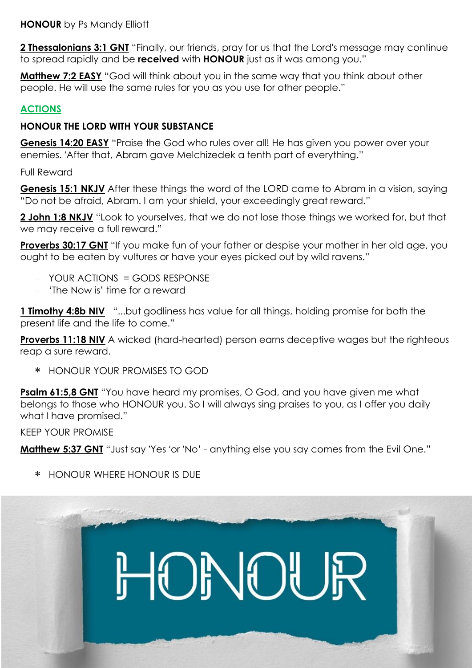**HONOUR** by Ps Mandy Elliott

**2 Thessalonians 3:1 GNT** "Finally, our friends, pray for us that the Lord's message may continue to spread rapidly and be **received** with **HONOUR** just as it was among you."

**Matthew 7:2 EASY** "God will think about you in the same way that you think about other people. He will use the same rules for you as you use for other people."

# **ACTIONS**

## **HONOUR THE LORD WITH YOUR SUBSTANCE**

**Genesis 14:20 EASY** "Praise the God who rules over all! He has given you power over your enemies. 'After that, Abram gave Melchizedek a tenth part of everything."

Full Reward

**Genesis 15:1 NKJV** After these things the word of the LORD came to Abram in a vision, saying "Do not be afraid, Abram. I am your shield, your exceedingly great reward."

**2 John 1:8 NKJV** "Look to yourselves, that we do not lose those things we worked for, but that we may receive a full reward."

**Proverbs 30:17 GNT** "If you make fun of your father or despise your mother in her old age, you ought to be eaten by vultures or have your eyes picked out by wild ravens."

- YOUR ACTIONS = GODS RESPONSE
- 'The Now is' time for a reward

**1 Timothy 4:8b NIV** "...but godliness has value for all things, holding promise for both the present life and the life to come."

**Proverbs 11:18 NIV** A wicked (hard-hearted) person earns deceptive wages but the righteous reap a sure reward.

HONOUR YOUR PROMISES TO GOD

**Psalm 61:5,8 GNT** "You have heard my promises, O God, and you have given me what belongs to those who HONOUR you. So I will always sing praises to you, as I offer you daily what I have promised."

KEEP YOUR PROMISE

**Matthew 5:37 GNT** "Just say 'Yes 'or 'No" - anything else you say comes from the Evil One."

HONOUR WHERE HONOUR IS DUE

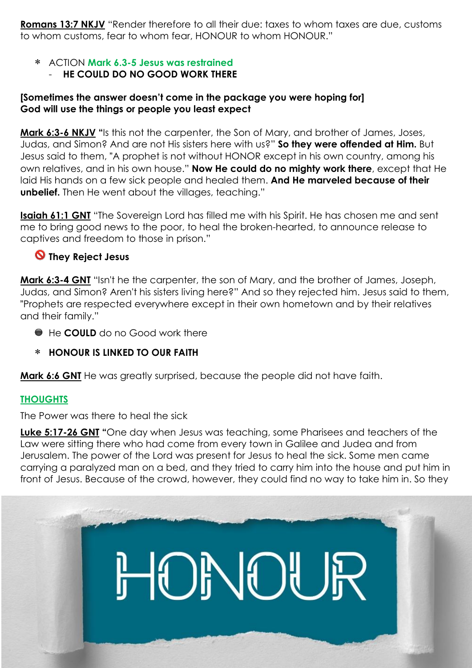**Romans 13:7 NKJV** "Render therefore to all their due: taxes to whom taxes are due, customs to whom customs, fear to whom fear, HONOUR to whom HONOUR."

## ACTION **Mark 6.3-5 Jesus was restrained** - **HE COULD DO NO GOOD WORK THERE**

## **[Sometimes the answer doesn't come in the package you were hoping for] God will use the things or people you least expect**

**Mark 6:3-6 NKJV "**Is this not the carpenter, the Son of Mary, and brother of James, Joses, Judas, and Simon? And are not His sisters here with us?" **So they were offended at Him.** But Jesus said to them, "A prophet is not without HONOR except in his own country, among his own relatives, and in his own house." **Now He could do no mighty work there**, except that He laid His hands on a few sick people and healed them. **And He marveled because of their unbelief.** Then He went about the villages, teaching."

**Isaiah 61:1 GNT** "The Sovereign Lord has filled me with his Spirit. He has chosen me and sent me to bring good news to the poor, to heal the broken-hearted, to announce release to captives and freedom to those in prison."

# **They Reject Jesus**

**Mark 6:3-4 GNT** "Isn't he the carpenter, the son of Mary, and the brother of James, Joseph, Judas, and Simon? Aren't his sisters living here?" And so they rejected him. Jesus said to them, "Prophets are respected everywhere except in their own hometown and by their relatives and their family."

- He **COULD** do no Good work there
- **HONOUR IS LINKED TO OUR FAITH**

**Mark 6:6 GNT** He was greatly surprised, because the people did not have faith.

# **THOUGHTS**

The Power was there to heal the sick

**Luke 5:17-26 GNT "**One day when Jesus was teaching, some Pharisees and teachers of the Law were sitting there who had come from every town in Galilee and Judea and from Jerusalem. The power of the Lord was present for Jesus to heal the sick. Some men came carrying a paralyzed man on a bed, and they tried to carry him into the house and put him in front of Jesus. Because of the crowd, however, they could find no way to take him in. So they

HONOUF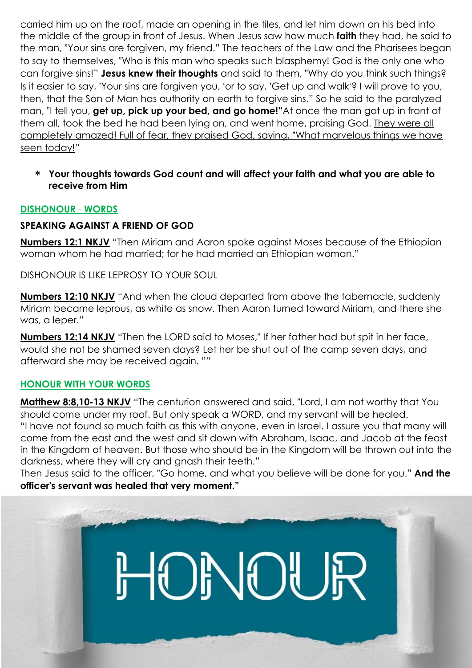carried him up on the roof, made an opening in the tiles, and let him down on his bed into the middle of the group in front of Jesus. When Jesus saw how much **faith** they had, he said to the man, "Your sins are forgiven, my friend." The teachers of the Law and the Pharisees began to say to themselves, "Who is this man who speaks such blasphemy! God is the only one who can forgive sins!" **Jesus knew their thoughts** and said to them, "Why do you think such things? Is it easier to say, 'Your sins are forgiven you, 'or to say, 'Get up and walk'? I will prove to you, then, that the Son of Man has authority on earth to forgive sins." So he said to the paralyzed man, "I tell you, **get up, pick up your bed, and go home!"**At once the man got up in front of them all, took the bed he had been lying on, and went home, praising God. They were all completely amazed! Full of fear, they praised God, saying, "What marvelous things we have seen today!"

 **Your thoughts towards God count and will affect your faith and what you are able to receive from Him**

## **DISHONOUR** - **WORDS**

## **SPEAKING AGAINST A FRIEND OF GOD**

**Numbers 12:1 NKJV** "Then Miriam and Aaron spoke against Moses because of the Ethiopian woman whom he had married; for he had married an Ethiopian woman."

DISHONOUR IS LIKE LEPROSY TO YOUR SOUL

**Numbers 12:10 NKJV** "And when the cloud departed from above the tabernacle, suddenly Miriam became leprous, as white as snow. Then Aaron turned toward Miriam, and there she was, a leper."

**Numbers 12:14 NKJV** "Then the LORD said to Moses," If her father had but spit in her face, would she not be shamed seven days? Let her be shut out of the camp seven days, and afterward she may be received again. ""

## **HONOUR WITH YOUR WORDS**

**Matthew 8:8,10-13 NKJV** "The centurion answered and said, "Lord, I am not worthy that You should come under my roof. But only speak a WORD, and my servant will be healed. "I have not found so much faith as this with anyone, even in Israel. I assure you that many will come from the east and the west and sit down with Abraham, Isaac, and Jacob at the feast in the Kingdom of heaven. But those who should be in the Kingdom will be thrown out into the darkness, where they will cry and gnash their teeth."

Then Jesus said to the officer, "Go home, and what you believe will be done for you." **And the officer's servant was healed that very moment."**

HONOUF